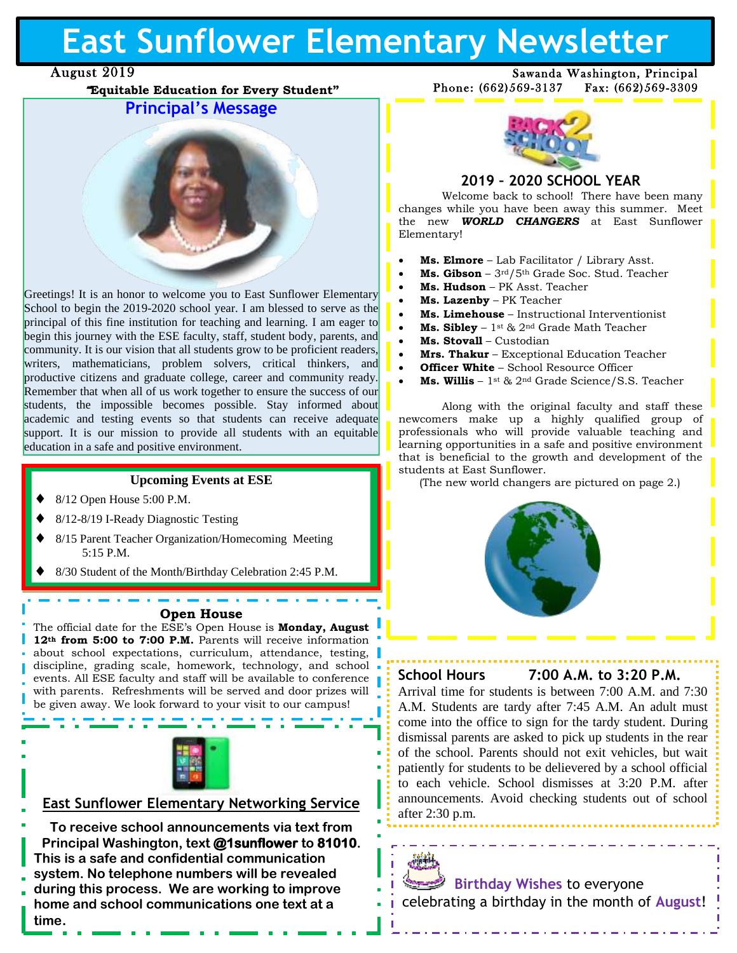# **East Sunflower Elementary Newsletter**

# August 2019

""**Equitable Education for Every Student"**

# **Principal's Message**



Greetings! It is an honor to welcome you to East Sunflower Elementary School to begin the 2019-2020 school year. I am blessed to serve as the principal of this fine institution for teaching and learning. I am eager to begin this journey with the ESE faculty, staff, student body, parents, and community. It is our vision that all students grow to be proficient readers, writers, mathematicians, problem solvers, critical thinkers, and productive citizens and graduate college, career and community ready. Remember that when all of us work together to ensure the success of our students, the impossible becomes possible. Stay informed about academic and testing events so that students can receive adequate support. It is our mission to provide all students with an equitable education in a safe and positive environment. n<br>ւ

#### **Upcoming Events at ESE**

- 8/12 Open House 5:00 P.M.
- 8/12-8/19 I-Ready Diagnostic Testing

9/3 Labor Day Holiday (SCHOOL CLOSED)

- 8/15 Parent Teacher Organization/Homecoming Meeting 5:15 P.M.
- 8/30 Student of the Month/Birthday Celebration 2:45 P.M.

#### **Open House**

 about school expectations, curriculum, attendance, testing, The official date for the ESE's Open House is **Monday, August 12th from 5:00 to 7:00 P.M.** Parents will receive information discipline, grading scale, homework, technology, and school events. All ESE faculty and staff will be available to conference with parents. Refreshments will be served and door prizes will be given away. We look forward to your visit to our campus!



### **East Sunflower Elementary Networking Service**

**To receive school announcements via text from Principal Washington, text @1sunflower to 81010. This is a safe and confidential communication system. No telephone numbers will be revealed during this process. We are working to improve home and school communications one text at a time.**



Phone: (662)569-3137 Fax: (662)569-3309

Sawanda Washington, Principal

## **2019 – 2020 SCHOOL YEAR**

Welcome back to school! There have been many changes while you have been away this summer. Meet the new *WORLD CHANGERS* at East Sunflower Elementary!

- **Ms. Elmore** Lab Facilitator / Library Asst.
- **Ms. Gibson** 3rd/5th Grade Soc. Stud. Teacher
- **Ms. Hudson** PK Asst. Teacher
- **Ms. Lazenby** PK Teacher
- **Ms. Limehouse** Instructional Interventionist
- **Ms. Sibley** 1st & 2nd Grade Math Teacher
- **Ms. Stovall** Custodian
- **Mrs. Thakur** Exceptional Education Teacher
- **Officer White** School Resource Officer
- **Ms. Willis** 1st & 2nd Grade Science/S.S. Teacher

Along with the original faculty and staff these newcomers make up a highly qualified group of professionals who will provide valuable teaching and learning opportunities in a safe and positive environment that is beneficial to the growth and development of the students at East Sunflower.

(The new world changers are pictured on page 2.)



### **School Hours 7:00 A.M. to 3:20 P.M.**

Arrival time for students is between 7:00 A.M. and 7:30 A.M. Students are tardy after 7:45 A.M. An adult must come into the office to sign for the tardy student. During dismissal parents are asked to pick up students in the rear of the school. Parents should not exit vehicles, but wait patiently for students to be delievered by a school official to each vehicle. School dismisses at 3:20 P.M. after announcements. Avoid checking students out of school after 2:30 p.m.

 **Birthday Wishes** to everyone celebrating a birthday in the month of **August**!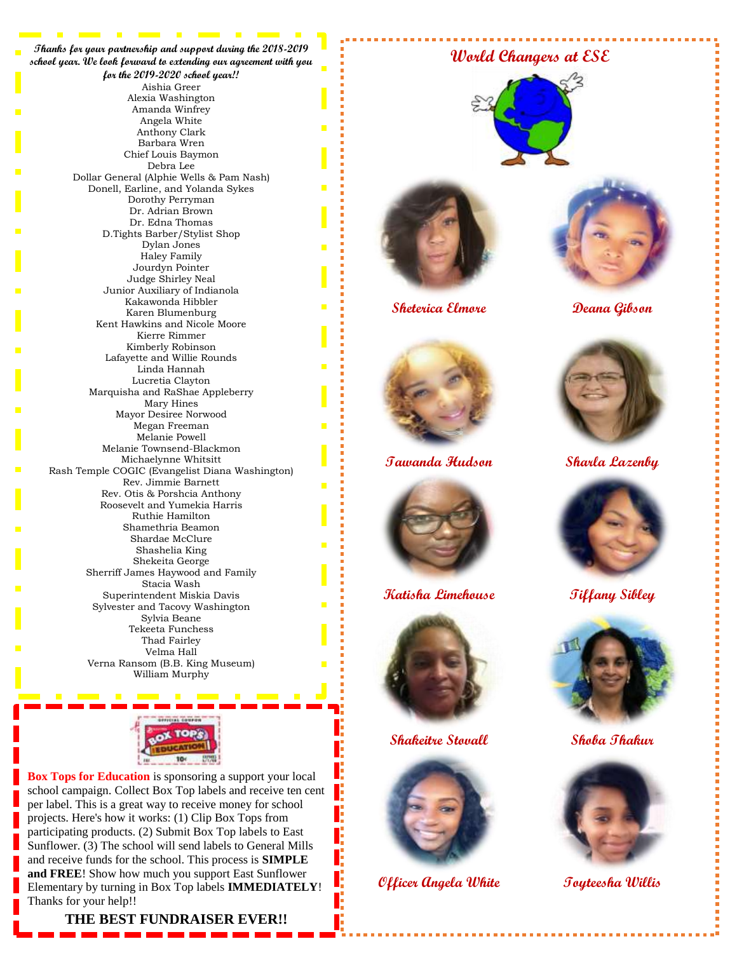**Thanks for your partnership and support during the 2018-2019 school year. We look forward to extending our agreement with you for the 2019-2020 school year!!** Aishia Greer Alexia Washington Amanda Winfrey Angela White Anthony Clark Barbara Wren Chief Louis Baymon Debra Lee Dollar General (Alphie Wells & Pam Nash) Donell, Earline, and Yolanda Sykes Dorothy Perryman Dr. Adrian Brown Dr. Edna Thomas D.Tights Barber/Stylist Shop Dylan Jones Haley Family Jourdyn Pointer Judge Shirley Neal Junior Auxiliary of Indianola Kakawonda Hibbler Karen Blumenburg Kent Hawkins and Nicole Moore Kierre Rimmer Kimberly Robinson Lafayette and Willie Rounds Linda Hannah Lucretia Clayton Marquisha and RaShae Appleberry Mary Hines Mayor Desiree Norwood Megan Freeman Melanie Powell Melanie Townsend-Blackmon Michaelynne Whitsitt Rash Temple COGIC (Evangelist Diana Washington) Rev. Jimmie Barnett Rev. Otis & Porshcia Anthony Roosevelt and Yumekia Harris Ruthie Hamilton Shamethria Beamon Shardae McClure Shashelia King Shekeita George Sherriff James Haywood and Family Stacia Wash Superintendent Miskia Davis Sylvester and Tacovy Washington Sylvia Beane Tekeeta Funchess Thad Fairley Velma Hall Verna Ransom (B.B. King Museum) William Murphy



**Box Tops for Education** is sponsoring a support your local school campaign. Collect Box Top labels and receive ten cent per label. This is a great way to receive money for school projects. Here's how it works: (1) Clip Box Tops from participating products. (2) Submit Box Top labels to East Sunflower. (3) The school will send labels to General Mills and receive funds for the school. This process is **SIMPLE and FREE**! Show how much you support East Sunflower Elementary by turning in Box Top labels **IMMEDIATELY**! Thanks for your help!!

#### **THE BEST FUNDRAISER EVER!!**

### **World Changers at ESE**





**Sheterica Elmore Deana Gibson**





**Tawanda Hudson Sharla Lazenby**



**Katisha Limehouse Tiffany Sibley**



**Shakeitre Stovall Shoba Thakur**



Œ

**Officer Angela White Toyteesha Willis**







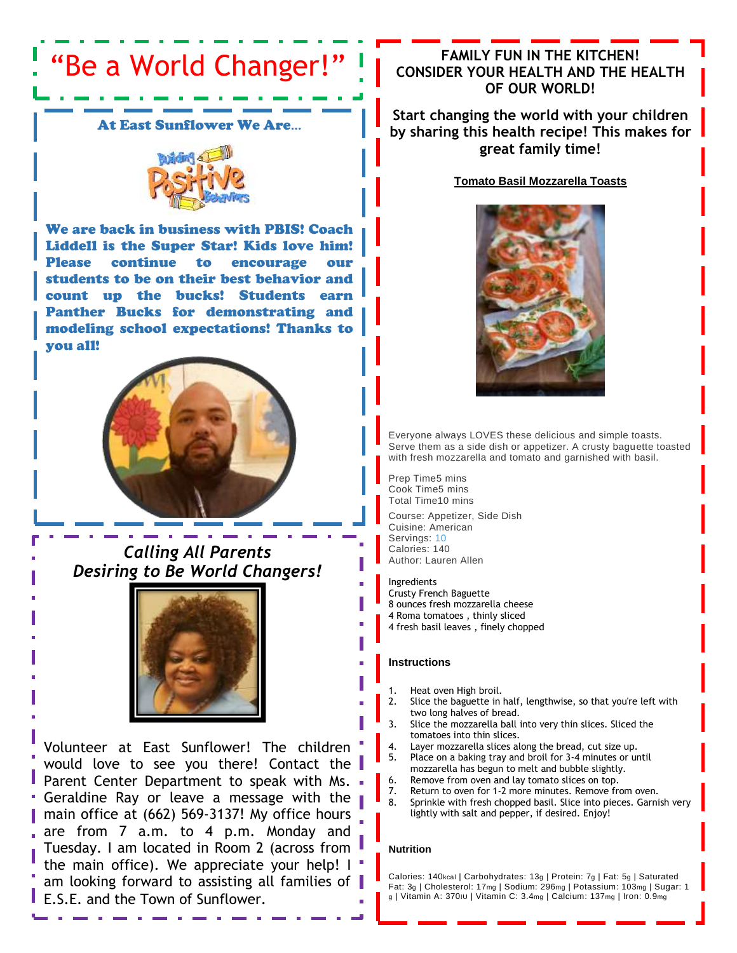# "Be a World Changer!"

At East Sunflower We Are…



We are back in business with PBIS! Coach Liddell is the Super Star! Kids love him! Please continue to encourage our students to be on their best behavior and count up the bucks! Students earn Panther Bucks for demonstrating and modeling school expectations! Thanks to you all!



*Calling All Parents Desiring to Be World Changers!*



Volunteer at East Sunflower! The children would love to see you there! Contact the Parent Center Department to speak with Ms.  $\blacksquare$ Geraldine Ray or leave a message with the main office at (662) 569-3137! My office hours are from 7 a.m. to 4 p.m. Monday and Tuesday. I am located in Room 2 (across from the main office). We appreciate your help!  $\mathsf{I}$ am looking forward to assisting all families of E.S.E. and the Town of Sunflower.

# **FAMILY FUN IN THE KITCHEN! CONSIDER YOUR HEALTH AND THE HEALTH OF OUR WORLD!**

**Start changing the world with your children by sharing this health recipe! This makes for great family time!**

**Tomato Basil Mozzarella Toasts**



Everyone always LOVES these delicious and simple toasts. Serve them as a side dish or appetizer. A crusty baguette toasted with fresh mozzarella and tomato and garnished with basil.

Prep Time5 mins Cook Time5 mins Total Time10 mins

Course: Appetizer, Side Dish Cuisine: American Servings: [10](https://tastesbetterfromscratch.com/tomato-basil-mozzarella-toasts/) Calories: 140 Author: Lauren Allen

Ingredients Crusty French Baguette 8 ounces fresh mozzarella cheese 4 Roma tomatoes , thinly sliced 4 fresh basil leaves , finely chopped

#### **Instructions**

- 1. Heat oven High broil.
- 2. Slice the baguette in half, lengthwise, so that you're left with two long halves of bread.
- 3. Slice the mozzarella ball into very thin slices. Sliced the tomatoes into thin slices.
- Layer mozzarella slices along the bread, cut size up.
- 5. Place on a baking tray and broil for 3-4 minutes or until mozzarella has begun to melt and bubble slightly.
- 6. Remove from oven and lay tomato slices on top.
- 7. Return to oven for 1-2 more minutes. Remove from oven.<br>8. Sprinkle with fresh chopped basil. Slice into pieces. Garni
- Sprinkle with fresh chopped basil. Slice into pieces. Garnish very lightly with salt and pepper, if desired. Enjoy!

#### **Nutrition**

j

Calories: 140kcal | Carbohydrates: 13g | Protein: 7g | Fat: 5g | Saturated Fat: 3g | Cholesterol: 17mg | Sodium: 296mg | Potassium: 103mg | Sugar: 1 g | Vitamin A: 370IU | Vitamin C: 3.4mg | Calcium: 137mg | Iron: 0.9mg